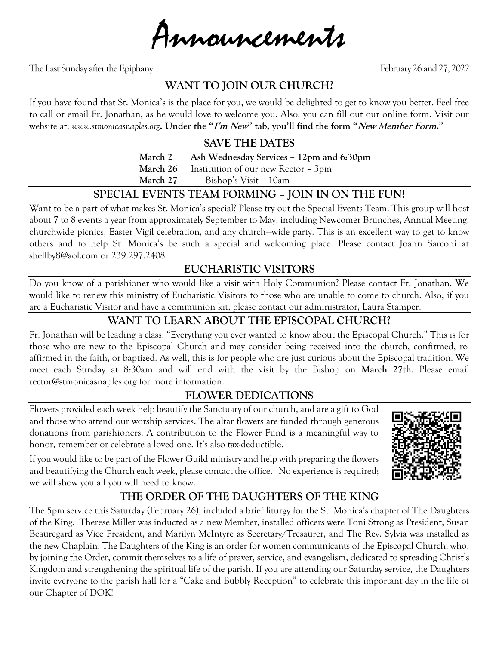Announcements

The Last Sunday after the Epiphany February 26 and 27, 2022

### **WANT TO JOIN OUR CHURCH?**

If you have found that St. Monica's is the place for you, we would be delighted to get to know you better. Feel free to call or email Fr. Jonathan, as he would love to welcome you. Also, you can fill out our online form. Visit our website at: *www.stmonicasnaples.org***. Under the "I'm New" tab, you'll find the form "New Member Form."**

### **SAVE THE DATES**

**March 2 Ash Wednesday Services – 12pm and 6:30pm March 26** Institution of our new Rector – 3pm **March 27** Bishop's Visit – 10am

### **SPECIAL EVENTS TEAM FORMING – JOIN IN ON THE FUN!**

Want to be a part of what makes St. Monica's special? Please try out the Special Events Team. This group will host about 7 to 8 events a year from approximately September to May, including Newcomer Brunches, Annual Meeting, churchwide picnics, Easter Vigil celebration, and any church—wide party. This is an excellent way to get to know others and to help St. Monica's be such a special and welcoming place. Please contact Joann Sarconi at shellby8@aol.com or 239.297.2408.

# **EUCHARISTIC VISITORS**

Do you know of a parishioner who would like a visit with Holy Communion? Please contact Fr. Jonathan. We would like to renew this ministry of Eucharistic Visitors to those who are unable to come to church. Also, if you are a Eucharistic Visitor and have a communion kit, please contact our administrator, Laura Stamper.

#### **WANT TO LEARN ABOUT THE EPISCOPAL CHURCH?**

Fr. Jonathan will be leading a class: "Everything you ever wanted to know about the Episcopal Church." This is for those who are new to the Episcopal Church and may consider being received into the church, confirmed, reaffirmed in the faith, or baptized. As well, this is for people who are just curious about the Episcopal tradition. We meet each Sunday at 8:30am and will end with the visit by the Bishop on **March 27th**. Please email rector@stmonicasnaples.org for more information.

## **FLOWER DEDICATIONS**

Flowers provided each week help beautify the Sanctuary of our church, and are a gift to God and those who attend our worship services. The altar flowers are funded through generous donations from parishioners. A contribution to the Flower Fund is a meaningful way to honor, remember or celebrate a loved one. It's also tax-deductible.

If you would like to be part of the Flower Guild ministry and help with preparing the flowers and beautifying the Church each week, please contact the office. No experience is required; we will show you all you will need to know.

# **THE ORDER OF THE DAUGHTERS OF THE KING**

The 5pm service this Saturday (February 26), included a brief liturgy for the St. Monica's chapter of The Daughters of the King. Therese Miller was inducted as a new Member, installed officers were Toni Strong as President, Susan Beauregard as Vice President, and Marilyn McIntyre as Secretary/Tresaurer, and The Rev. Sylvia was installed as the new Chaplain. The Daughters of the King is an order for women communicants of the Episcopal Church, who, by joining the Order, commit themselves to a life of prayer, service, and evangelism, dedicated to spreading Christ's Kingdom and strengthening the spiritual life of the parish. If you are attending our Saturday service, the Daughters invite everyone to the parish hall for a "Cake and Bubbly Reception" to celebrate this important day in the life of our Chapter of DOK!